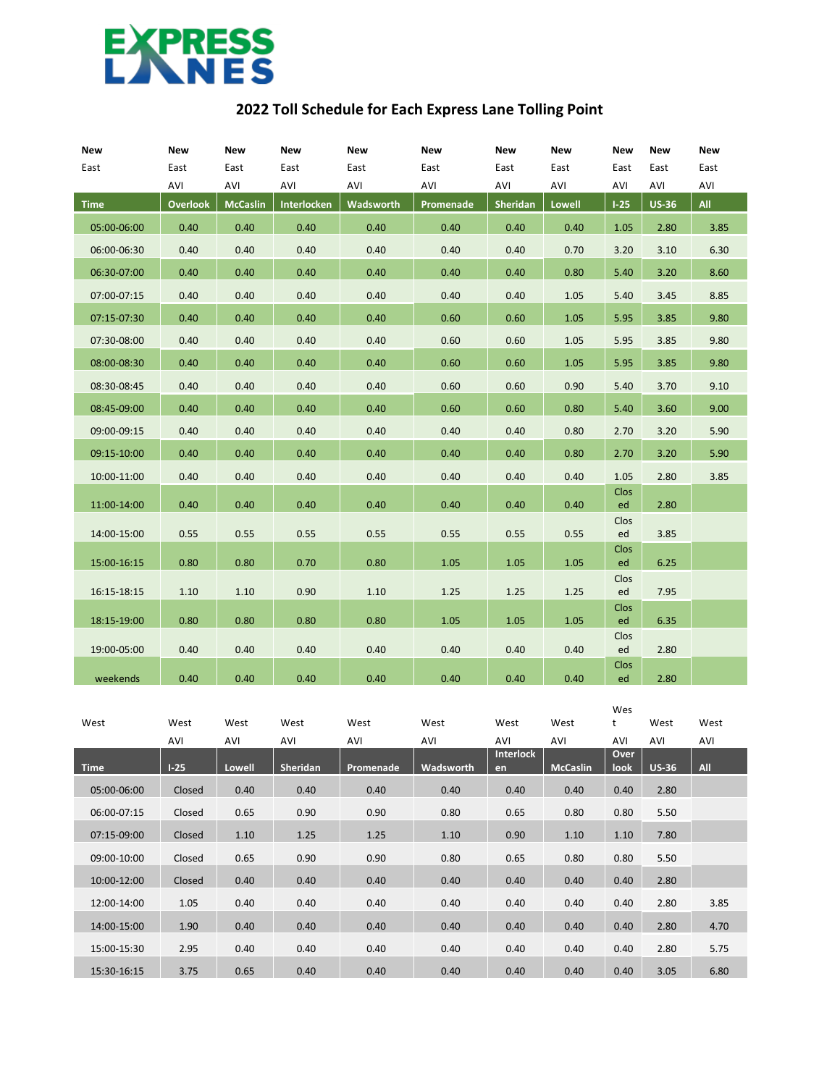

## **2022 Toll Schedule for Each Express Lane Tolling Point**

| New         | New             | <b>New</b>      | <b>New</b>         | <b>New</b>       | <b>New</b> | <b>New</b> | <b>New</b>    | <b>New</b> | <b>New</b>   | <b>New</b> |
|-------------|-----------------|-----------------|--------------------|------------------|------------|------------|---------------|------------|--------------|------------|
| East        | East            | East            | East               | East             | East       | East       | East          | East       | East         | East       |
|             | AVI             | AVI             | AVI                | AVI              | AVI        | AVI        | AVI           | AVI        | AVI          | AVI        |
| <b>Time</b> | <b>Overlook</b> | <b>McCaslin</b> | <b>Interlocken</b> | <b>Wadsworth</b> | Promenade  | Sheridan   | <b>Lowell</b> | $1-25$     | <b>US-36</b> | All        |
| 05:00-06:00 | 0.40            | 0.40            | 0.40               | 0.40             | 0.40       | 0.40       | 0.40          | 1.05       | 2.80         | 3.85       |
| 06:00-06:30 | 0.40            | 0.40            | 0.40               | 0.40             | 0.40       | 0.40       | 0.70          | 3.20       | 3.10         | 6.30       |
| 06:30-07:00 | 0.40            | 0.40            | 0.40               | 0.40             | 0.40       | 0.40       | 0.80          | 5.40       | 3.20         | 8.60       |
| 07:00-07:15 | 0.40            | 0.40            | 0.40               | 0.40             | 0.40       | 0.40       | 1.05          | 5.40       | 3.45         | 8.85       |
| 07:15-07:30 | 0.40            | 0.40            | 0.40               | 0.40             | 0.60       | 0.60       | 1.05          | 5.95       | 3.85         | 9.80       |
| 07:30-08:00 | 0.40            | 0.40            | 0.40               | 0.40             | 0.60       | 0.60       | 1.05          | 5.95       | 3.85         | 9.80       |
| 08:00-08:30 | 0.40            | 0.40            | 0.40               | 0.40             | 0.60       | 0.60       | 1.05          | 5.95       | 3.85         | 9.80       |
| 08:30-08:45 | 0.40            | 0.40            | 0.40               | 0.40             | 0.60       | 0.60       | 0.90          | 5.40       | 3.70         | 9.10       |
| 08:45-09:00 | 0.40            | 0.40            | 0.40               | 0.40             | 0.60       | 0.60       | 0.80          | 5.40       | 3.60         | 9.00       |
| 09:00-09:15 | 0.40            | 0.40            | 0.40               | 0.40             | 0.40       | 0.40       | 0.80          | 2.70       | 3.20         | 5.90       |
| 09:15-10:00 | 0.40            | 0.40            | 0.40               | 0.40             | 0.40       | 0.40       | 0.80          | 2.70       | 3.20         | 5.90       |
| 10:00-11:00 | 0.40            | 0.40            | 0.40               | 0.40             | 0.40       | 0.40       | 0.40          | 1.05       | 2.80         | 3.85       |
| 11:00-14:00 | 0.40            | 0.40            | 0.40               | 0.40             | 0.40       | 0.40       | 0.40          | Clos<br>ed | 2.80         |            |
| 14:00-15:00 | 0.55            | 0.55            | 0.55               | 0.55             | 0.55       | 0.55       | 0.55          | Clos<br>ed | 3.85         |            |
| 15:00-16:15 | 0.80            | 0.80            | 0.70               | 0.80             | 1.05       | 1.05       | 1.05          | Clos<br>ed | 6.25         |            |
| 16:15-18:15 | 1.10            | 1.10            | 0.90               | 1.10             | 1.25       | 1.25       | 1.25          | Clos<br>ed | 7.95         |            |
|             |                 |                 |                    |                  |            |            |               | Clos       |              |            |
| 18:15-19:00 | 0.80            | 0.80            | 0.80               | 0.80             | 1.05       | 1.05       | 1.05          | ed<br>Clos | 6.35         |            |
| 19:00-05:00 | 0.40            | 0.40            | 0.40               | 0.40             | 0.40       | 0.40       | 0.40          | ed         | 2.80         |            |
| weekends    | 0.40            | 0.40            | 0.40               | 0.40             | 0.40       | 0.40       | 0.40          | Clos<br>ed | 2.80         |            |

|             |        |        |          |           |           |                  |                 | Wes  |              |            |
|-------------|--------|--------|----------|-----------|-----------|------------------|-----------------|------|--------------|------------|
| West        | West   | West   | West     | West      | West      | West             | West            | t    | West         | West       |
|             | AVI    | AVI    | AVI      | AVI       | AVI       | AVI              | AVI             | AVI  | AVI          | AVI        |
|             |        |        |          |           |           | <b>Interlock</b> |                 | Over |              |            |
| <b>Time</b> | $1-25$ | Lowell | Sheridan | Promenade | Wadsworth | en               | <b>McCaslin</b> | look | <b>US-36</b> | <b>All</b> |
| 05:00-06:00 | Closed | 0.40   | 0.40     | 0.40      | 0.40      | 0.40             | 0.40            | 0.40 | 2.80         |            |
| 06:00-07:15 | Closed | 0.65   | 0.90     | 0.90      | 0.80      | 0.65             | 0.80            | 0.80 | 5.50         |            |
| 07:15-09:00 | Closed | 1.10   | 1.25     | 1.25      | 1.10      | 0.90             | 1.10            | 1.10 | 7.80         |            |
| 09:00-10:00 | Closed | 0.65   | 0.90     | 0.90      | 0.80      | 0.65             | 0.80            | 0.80 | 5.50         |            |
| 10:00-12:00 | Closed | 0.40   | 0.40     | 0.40      | 0.40      | 0.40             | 0.40            | 0.40 | 2.80         |            |
| 12:00-14:00 | 1.05   | 0.40   | 0.40     | 0.40      | 0.40      | 0.40             | 0.40            | 0.40 | 2.80         | 3.85       |
| 14:00-15:00 | 1.90   | 0.40   | 0.40     | 0.40      | 0.40      | 0.40             | 0.40            | 0.40 | 2.80         | 4.70       |
| 15:00-15:30 | 2.95   | 0.40   | 0.40     | 0.40      | 0.40      | 0.40             | 0.40            | 0.40 | 2.80         | 5.75       |
| 15:30-16:15 | 3.75   | 0.65   | 0.40     | 0.40      | 0.40      | 0.40             | 0.40            | 0.40 | 3.05         | 6.80       |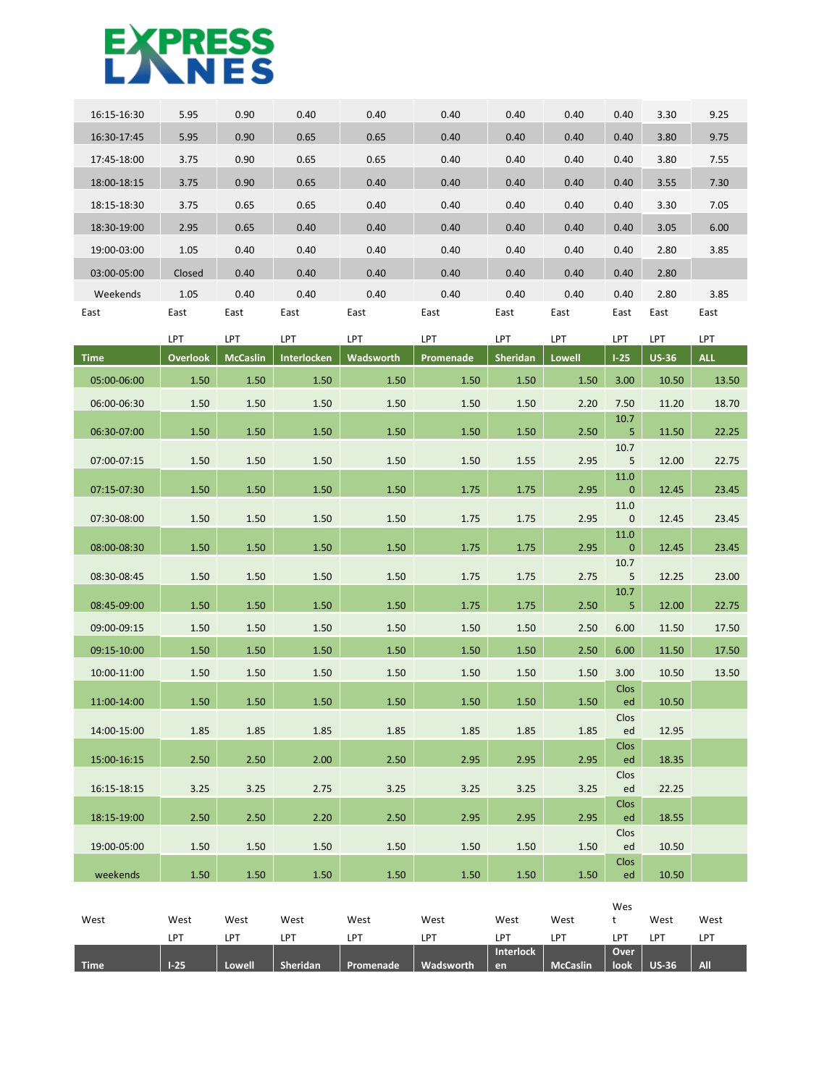## **EXPRESS**

| 16:15-16:30 | 5.95            | 0.90            | 0.40                 | 0.40       | 0.40          | 0.40            | 0.40                 | 0.40   | 3.30         | 9.25       |
|-------------|-----------------|-----------------|----------------------|------------|---------------|-----------------|----------------------|--------|--------------|------------|
|             |                 |                 |                      |            |               |                 |                      |        |              |            |
| 16:30-17:45 | 5.95            | 0.90            | 0.65                 | 0.65       | 0.40          | 0.40            | 0.40                 | 0.40   | 3.80         | 9.75       |
| 17:45-18:00 | 3.75            | 0.90            | 0.65                 | 0.65       | 0.40          | 0.40            | 0.40                 | 0.40   | 3.80         | 7.55       |
| 18:00-18:15 | 3.75            | 0.90            | 0.65                 | 0.40       | 0.40          | 0.40            | 0.40                 | 0.40   | 3.55         | 7.30       |
| 18:15-18:30 | 3.75            | 0.65            | 0.65                 | 0.40       | 0.40          | 0.40            | 0.40                 | 0.40   | 3.30         | 7.05       |
| 18:30-19:00 | 2.95            | 0.65            | 0.40                 | 0.40       | 0.40          | 0.40            | 0.40                 | 0.40   | 3.05         | 6.00       |
| 19:00-03:00 | 1.05            | 0.40            | 0.40                 | 0.40       | 0.40          | 0.40            | 0.40                 | 0.40   | 2.80         | 3.85       |
| 03:00-05:00 | Closed          | 0.40            | 0.40                 | 0.40       | 0.40          | 0.40            | 0.40                 | 0.40   | 2.80         |            |
| Weekends    | 1.05            | 0.40            | 0.40                 | 0.40       | 0.40          | 0.40            | 0.40                 | 0.40   | 2.80         | 3.85       |
| East        | East            | East            | East                 | East       | East          | East            | East                 | East   | East         | East       |
|             | LPT             | LPT             | LPT                  | <b>LPT</b> | LPT           | <b>LPT</b>      | LPT                  | LPT    | LPT          | LPT        |
| <b>Time</b> | <b>Overlook</b> | <b>McCaslin</b> | Interlocken          | Wadsworth  | Promenade     | <b>Sheridan</b> | Lowell               | $1-25$ | <b>US-36</b> | <b>ALL</b> |
| 05:00-06:00 | 1.50            | 1.50            | 1.50                 | 1.50       | 1.50          | 1.50            | 1.50                 | 3.00   | 10.50        | 13.50      |
| 06:00-06:30 | 1.50            | 1.50            | 1.50                 | 1.50       | 1.50          | 1.50            | 2.20                 | 7.50   | 11.20        | 18.70      |
| 00.20.07.00 | $\sim$ $\sim$   | $4 - 5$         | $\sim$ $\sim$ $\sim$ | 1.50       | $\sim$ $\sim$ | $1 - 2$         | $\sim$ $\sim$ $\sim$ | 10.7   | 44.50        | 22.25      |

|             | . .             | . .             | . .         | . .       | . .       | . .      | . .    | . .                      | . .          | . .        |
|-------------|-----------------|-----------------|-------------|-----------|-----------|----------|--------|--------------------------|--------------|------------|
| <b>Time</b> | <b>Overlook</b> | <b>McCaslin</b> | Interlocken | Wadsworth | Promenade | Sheridan | Lowell | $1 - 25$                 | <b>US-36</b> | <b>ALL</b> |
| 05:00-06:00 | 1.50            | 1.50            | 1.50        | 1.50      | 1.50      | 1.50     | 1.50   | 3.00                     | 10.50        | 13.50      |
| 06:00-06:30 | 1.50            | 1.50            | 1.50        | 1.50      | 1.50      | 1.50     | 2.20   | 7.50                     | 11.20        | 18.70      |
| 06:30-07:00 | 1.50            | 1.50            | 1.50        | 1.50      | 1.50      | 1.50     | 2.50   | 10.7<br>5 <sub>5</sub>   | 11.50        | 22.25      |
| 07:00-07:15 | 1.50            | 1.50            | 1.50        | 1.50      | 1.50      | 1.55     | 2.95   | 10.7<br>$5\phantom{.0}$  | 12.00        | 22.75      |
| 07:15-07:30 | 1.50            | 1.50            | 1.50        | 1.50      | 1.75      | 1.75     | 2.95   | 11.0<br>$\mathbf{0}$     | 12.45        | 23.45      |
|             | 1.50            | 1.50            | 1.50        | 1.50      | 1.75      |          | 2.95   | 11.0                     |              | 23.45      |
| 07:30-08:00 |                 |                 |             |           |           | 1.75     |        | $\mathbf 0$<br>11.0      | 12.45        |            |
| 08:00-08:30 | 1.50            | 1.50            | 1.50        | 1.50      | 1.75      | 1.75     | 2.95   | $\mathbf{0}$<br>10.7     | 12.45        | 23.45      |
| 08:30-08:45 | 1.50            | 1.50            | 1.50        | 1.50      | 1.75      | 1.75     | 2.75   | $5\phantom{.0}$<br>10.7  | 12.25        | 23.00      |
| 08:45-09:00 | 1.50            | 1.50            | 1.50        | 1.50      | 1.75      | 1.75     | 2.50   | 5 <sup>1</sup>           | 12.00        | 22.75      |
| 09:00-09:15 | 1.50            | 1.50            | 1.50        | 1.50      | 1.50      | 1.50     | 2.50   | 6.00                     | 11.50        | 17.50      |
| 09:15-10:00 | 1.50            | 1.50            | 1.50        | 1.50      | 1.50      | 1.50     | 2.50   | 6.00                     | 11.50        | 17.50      |
| 10:00-11:00 | 1.50            | 1.50            | 1.50        | 1.50      | 1.50      | 1.50     | 1.50   | 3.00                     | 10.50        | 13.50      |
| 11:00-14:00 | 1.50            | 1.50            | 1.50        | 1.50      | 1.50      | 1.50     | 1.50   | <b>Clos</b><br>ed        | 10.50        |            |
| 14:00-15:00 | 1.85            | 1.85            | 1.85        | 1.85      | 1.85      | 1.85     | 1.85   | Clos<br>ed               | 12.95        |            |
| 15:00-16:15 | 2.50            | 2.50            | 2.00        | 2.50      | 2.95      | 2.95     | 2.95   | <b>Clos</b><br>ed        | 18.35        |            |
| 16:15-18:15 | 3.25            | 3.25            | 2.75        | 3.25      | 3.25      | 3.25     | 3.25   | Clos<br>ed               | 22.25        |            |
| 18:15-19:00 | 2.50            | 2.50            | 2.20        | 2.50      | 2.95      | 2.95     | 2.95   | <b>Clos</b><br>ed        | 18.55        |            |
| 19:00-05:00 | 1.50            | 1.50            | 1.50        | 1.50      | 1.50      | 1.50     | 1.50   | Clos<br>ed               | 10.50        |            |
| weekends    | $1.50 -$        | $1.50 -$        | 1.50        | $1.50 -$  | 1.50      | 1.50     |        | <b>Clos</b><br>$1.50$ ed | 10.50        |            |

|             |        |        |                 |            |            |                  |                 | Wes  |                 |            |
|-------------|--------|--------|-----------------|------------|------------|------------------|-----------------|------|-----------------|------------|
| West        | West   | West   | West            | West       | West       | West             | West            |      | West            | West       |
|             | LPT    | LPT    | LP <sup>7</sup> | <b>LPT</b> | <b>LPT</b> | <b>LPT</b>       | $LP^{\top}$     | LP٦  | LP <sub>7</sub> | LPT        |
|             |        |        |                 |            |            | <b>Interlock</b> |                 | Over |                 |            |
| <b>Time</b> | $1-25$ | Lowell | Sheridan        | Promenade  | Wadsworth  | en               | <b>McCaslin</b> | look | <b>US-36</b>    | <b>All</b> |